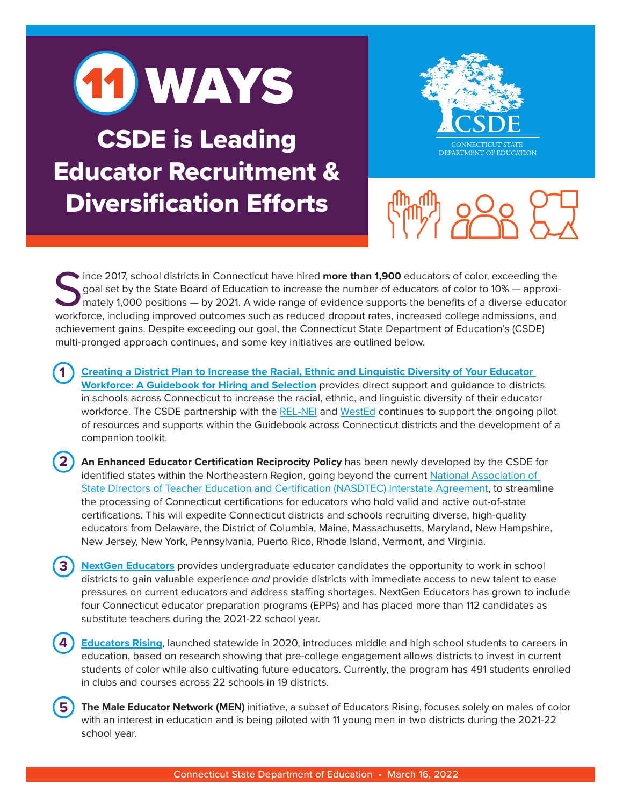

CSDE is Leading Educator Recruitment & Diversification Efforts

**1**

**5**





Since 2017, school districts in Connecticut have hired **more than 1,900** educators of color, exceeding the goal set by the State Board of Education to increase the number of educators of color to 10% — approximately 1,000 goal set by the State Board of Education to increase the number of educators of color to 10% — approximately 1,000 positions — by 2021. A wide range of evidence supports the benefits of a diverse educator workforce, including improved outcomes such as reduced dropout rates, increased college admissions, and achievement gains. Despite exceeding our goal, the Connecticut State Department of Education's (CSDE) multi-pronged approach continues, and some key initiatives are outlined below.

**[Creating a District Plan to Increase the Racial, Ethnic and Linguistic Diversity of Your Educator](https://portal.ct.gov/SDE/Talent_Office/Workforce-Diversity/Documents)  [Workforce: A Guidebook for Hiring and Selection](https://portal.ct.gov/SDE/Talent_Office/Workforce-Diversity/Documents)** provides direct support and guidance to districts in schools across Connecticut to increase the racial, ethnic, and linguistic diversity of their educator workforce. The CSDE partnership with the [REL-NEI](https://ies.ed.gov/ncee/edlabs/regions/northeast/) and [WestEd](https://www.wested.org/project/region-2-comprehensive-center/) continues to support the ongoing pilot of resources and supports within the Guidebook across Connecticut districts and the development of a companion toolkit.

**2 An Enhanced Educator Certification Reciprocity Policy** has been newly developed by the CSDE for identified states within the Northeastern Region, going beyond the current [National Association of](https://www.nasdtec.net/page/Interstate)  [State Directors of Teacher Education and Certification \(NASDTEC\) Interstate Agreement,](https://www.nasdtec.net/page/Interstate) to streamline the processing of Connecticut certifications for educators who hold valid and active out-of-state certifications. This will expedite Connecticut districts and schools recruiting diverse, high-quality educators from Delaware, the District of Columbia, Maine, Massachusetts, Maryland, New Hampshire, New Jersey, New York, Pennsylvania, Puerto Rico, Rhode Island, Vermont, and Virginia.

**3 [NextGen Educators](https://portal.ct.gov/Office-of-the-Governor/News/Press-Releases/2020/11-2020/Governor-Lamont-Announces-Launch-of-Teacher-Pipeline-College-Initiative)** provides undergraduate educator candidates the opportunity to work in school districts to gain valuable experience *and* provide districts with immediate access to new talent to ease pressures on current educators and address staffing shortages. NextGen Educators has grown to include four Connecticut educator preparation programs (EPPs) and has placed more than 112 candidates as substitute teachers during the 2021-22 school year.

**4 [Educators Rising](https://www.ccsu.edu/edrising/)**, launched statewide in 2020, introduces middle and high school students to careers in education, based on research showing that pre-college engagement allows districts to invest in current students of color while also cultivating future educators. Currently, the program has 491 students enrolled in clubs and courses across 22 schools in 19 districts.

**The Male Educator Network (MEN)** initiative, a subset of Educators Rising, focuses solely on males of color with an interest in education and is being piloted with 11 young men in two districts during the 2021-22 school year.